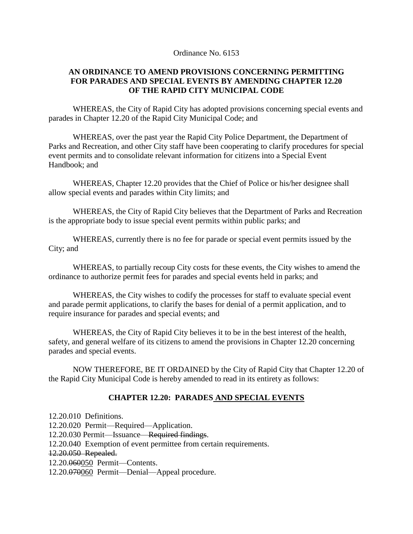#### Ordinance No. 6153

#### **AN ORDINANCE TO AMEND PROVISIONS CONCERNING PERMITTING FOR PARADES AND SPECIAL EVENTS BY AMENDING CHAPTER 12.20 OF THE RAPID CITY MUNICIPAL CODE**

WHEREAS, the City of Rapid City has adopted provisions concerning special events and parades in Chapter 12.20 of the Rapid City Municipal Code; and

WHEREAS, over the past year the Rapid City Police Department, the Department of Parks and Recreation, and other City staff have been cooperating to clarify procedures for special event permits and to consolidate relevant information for citizens into a Special Event Handbook; and

WHEREAS, Chapter 12.20 provides that the Chief of Police or his/her designee shall allow special events and parades within City limits; and

WHEREAS, the City of Rapid City believes that the Department of Parks and Recreation is the appropriate body to issue special event permits within public parks; and

WHEREAS, currently there is no fee for parade or special event permits issued by the City; and

WHEREAS, to partially recoup City costs for these events, the City wishes to amend the ordinance to authorize permit fees for parades and special events held in parks; and

WHEREAS, the City wishes to codify the processes for staff to evaluate special event and parade permit applications, to clarify the bases for denial of a permit application, and to require insurance for parades and special events; and

WHEREAS, the City of Rapid City believes it to be in the best interest of the health, safety, and general welfare of its citizens to amend the provisions in Chapter 12.20 concerning parades and special events.

NOW THEREFORE, BE IT ORDAINED by the City of Rapid City that Chapter 12.20 of the Rapid City Municipal Code is hereby amended to read in its entirety as follows:

### **CHAPTER 12.20: PARADES AND SPECIAL EVENTS**

12.20.010 Definitions. 12.20.020 Permit—Required—Application. 12.20.030 Permit—Issuance—Required findings. 12.20.040 Exemption of event permittee from certain requirements. 12.20.050 Repealed. 12.20.060050 Permit—Contents. 12.20.070060 Permit—Denial—Appeal procedure.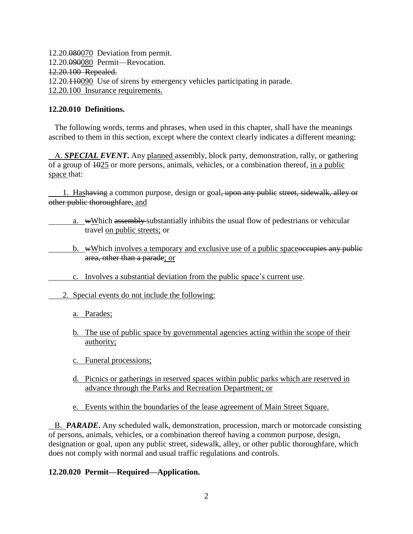12.20.080070 Deviation from permit. 12.20.090080 Permit—Revocation. 12.20.100 Repealed. 12.20.110090 Use of sirens by emergency vehicles participating in parade. 12.20.100 Insurance requirements.

#### **12.20.010 Definitions.**

 The following words, terms and phrases, when used in this chapter, shall have the meanings ascribed to them in this section, except where the context clearly indicates a different meaning:

A. **SPECIAL EVENT**. Any planned assembly, block party, demonstration, rally, or gathering of a group of 1025 or more persons, animals, vehicles, or a combination thereof, in a public space that:

 1. Hashaving a common purpose, design or goal, upon any public street, sidewalk, alley or other public thoroughfare, and

a. wWhich assembly substantially inhibits the usual flow of pedestrians or vehicular travel on public streets; or

b. wWhich involves a temporary and exclusive use of a public spaceoccupies any public area, other than a parade; or

- c. Involves a substantial deviation from the public space's current use.
- 2. Special events do not include the following:
	- a. Parades;
	- b. The use of public space by governmental agencies acting within the scope of their authority;
	- c. Funeral processions;
	- d. Picnics or gatherings in reserved spaces within public parks which are reserved in advance through the Parks and Recreation Department; or
	- e. Events within the boundaries of the lease agreement of Main Street Square.

 B. *PARADE***.** Any scheduled walk, demonstration, procession, march or motorcade consisting of persons, animals, vehicles, or a combination thereof having a common purpose, design, designation or goal, upon any public street, sidewalk, alley, or other public thoroughfare, which does not comply with normal and usual traffic regulations and controls.

#### **12.20.020 Permit—Required—Application.**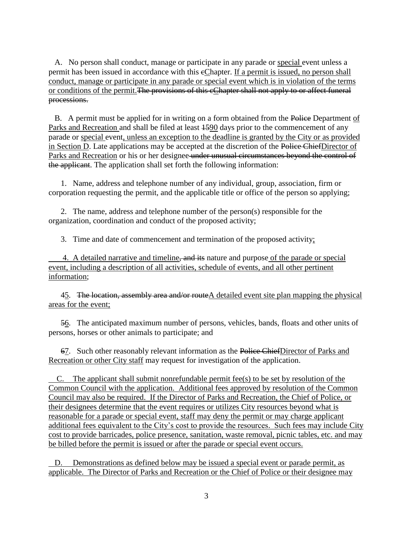A. No person shall conduct, manage or participate in any parade or special event unless a permit has been issued in accordance with this cChapter. If a permit is issued, no person shall conduct, manage or participate in any parade or special event which is in violation of the terms or conditions of the permit.The provisions of this cChapter shall not apply to or affect funeral processions.

B. A permit must be applied for in writing on a form obtained from the Police Department of Parks and Recreation and shall be filed at least 1590 days prior to the commencement of any parade or special event, unless an exception to the deadline is granted by the City or as provided in Section D. Late applications may be accepted at the discretion of the Police ChiefDirector of Parks and Recreation or his or her designee under unusual circumstances beyond the control of the applicant. The application shall set forth the following information:

 1. Name, address and telephone number of any individual, group, association, firm or corporation requesting the permit, and the applicable title or office of the person so applying;

 2. The name, address and telephone number of the person(s) responsible for the organization, coordination and conduct of the proposed activity;

3. Time and date of commencement and termination of the proposed activity;

4. A detailed narrative and timeline, and its nature and purpose of the parade or special event, including a description of all activities, schedule of events, and all other pertinent information;

45. The location, assembly area and/or routeA detailed event site plan mapping the physical areas for the event;

 56. The anticipated maximum number of persons, vehicles, bands, floats and other units of persons, horses or other animals to participate; and

67. Such other reasonably relevant information as the Police ChiefDirector of Parks and Recreation or other City staff may request for investigation of the application.

C. The applicant shall submit nonrefundable permit fee(s) to be set by resolution of the Common Council with the application. Additional fees approved by resolution of the Common Council may also be required. If the Director of Parks and Recreation, the Chief of Police, or their designees determine that the event requires or utilizes City resources beyond what is reasonable for a parade or special event, staff may deny the permit or may charge applicant additional fees equivalent to the City's cost to provide the resources. Such fees may include City cost to provide barricades, police presence, sanitation, waste removal, picnic tables, etc. and may be billed before the permit is issued or after the parade or special event occurs.

 D. Demonstrations as defined below may be issued a special event or parade permit, as applicable. The Director of Parks and Recreation or the Chief of Police or their designee may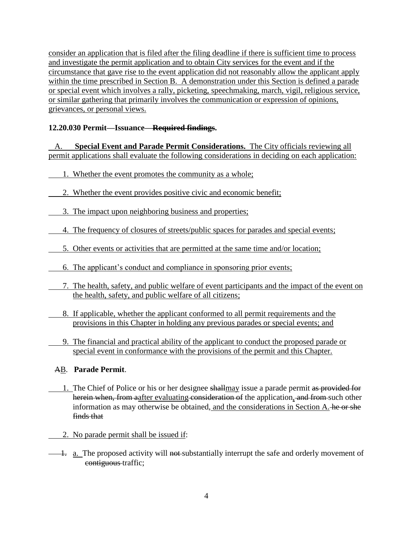consider an application that is filed after the filing deadline if there is sufficient time to process and investigate the permit application and to obtain City services for the event and if the circumstance that gave rise to the event application did not reasonably allow the applicant apply within the time prescribed in Section B. A demonstration under this Section is defined a parade or special event which involves a rally, picketing, speechmaking, march, vigil, religious service, or similar gathering that primarily involves the communication or expression of opinions, grievances, or personal views.

# **12.20.030 Permit—Issuance—Required findings.**

 A. **Special Event and Parade Permit Considerations.** The City officials reviewing all permit applications shall evaluate the following considerations in deciding on each application:

- 1. Whether the event promotes the community as a whole;
- 2. Whether the event provides positive civic and economic benefit;
- 3. The impact upon neighboring business and properties;
	- 4. The frequency of closures of streets/public spaces for parades and special events;
- 5. Other events or activities that are permitted at the same time and/or location;
- 6. The applicant's conduct and compliance in sponsoring prior events;
	- 7. The health, safety, and public welfare of event participants and the impact of the event on the health, safety, and public welfare of all citizens;
	- 8. If applicable, whether the applicant conformed to all permit requirements and the provisions in this Chapter in holding any previous parades or special events; and
	- 9. The financial and practical ability of the applicant to conduct the proposed parade or special event in conformance with the provisions of the permit and this Chapter.

### AB. **Parade Permit**.

- 1. The Chief of Police or his or her designee shallmay issue a parade permit as provided for herein when, from aafter evaluating consideration of the application, and from such other information as may otherwise be obtained, and the considerations in Section A. he or she finds that
- 2. No parade permit shall be issued if:
- 1. a. The proposed activity will not substantially interrupt the safe and orderly movement of contiguous traffic;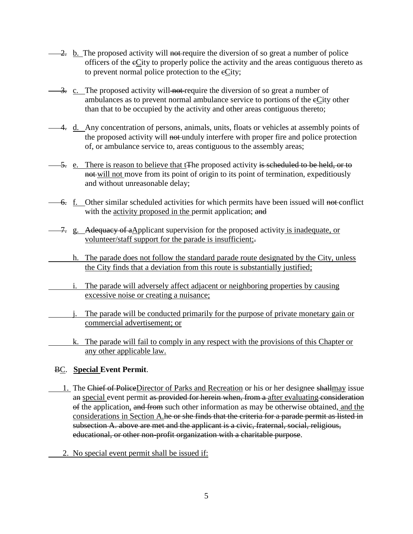- $\frac{2}{2}$  b. The proposed activity will not-require the diversion of so great a number of police officers of the cCity to properly police the activity and the areas contiguous thereto as to prevent normal police protection to the eCity;
- 3. c. The proposed activity will not require the diversion of so great a number of ambulances as to prevent normal ambulance service to portions of the eCity other than that to be occupied by the activity and other areas contiguous thereto;
- 4. d. Any concentration of persons, animals, units, floats or vehicles at assembly points of the proposed activity will not unduly interfere with proper fire and police protection of, or ambulance service to, areas contiguous to the assembly areas;
- 5. e. There is reason to believe that t<sub>te</sub> proposed activity is seleduled to be held, or to not will not move from its point of origin to its point of termination, expeditiously and without unreasonable delay;
- $\overline{-6}$ . f. Other similar scheduled activities for which permits have been issued will not conflict with the activity proposed in the permit application; and
- 7. g. Adequacy of aApplicant supervision for the proposed activity is inadequate, or volunteer/staff support for the parade is insufficient;
	- h. The parade does not follow the standard parade route designated by the City, unless the City finds that a deviation from this route is substantially justified;
	- i. The parade will adversely affect adjacent or neighboring properties by causing excessive noise or creating a nuisance;
	- j. The parade will be conducted primarily for the purpose of private monetary gain or commercial advertisement; or
		- k. The parade will fail to comply in any respect with the provisions of this Chapter or any other applicable law.

# BC. **Special Event Permit**.

- 1. The Chief of PoliceDirector of Parks and Recreation or his or her designee shallmay issue an special event permit as provided for herein when, from a after evaluating consideration of the application, and from such other information as may be otherwise obtained, and the considerations in Section A.he or she finds that the criteria for a parade permit as listed in subsection A. above are met and the applicant is a civic, fraternal, social, religious, educational, or other non-profit organization with a charitable purpose.
	- 2. No special event permit shall be issued if: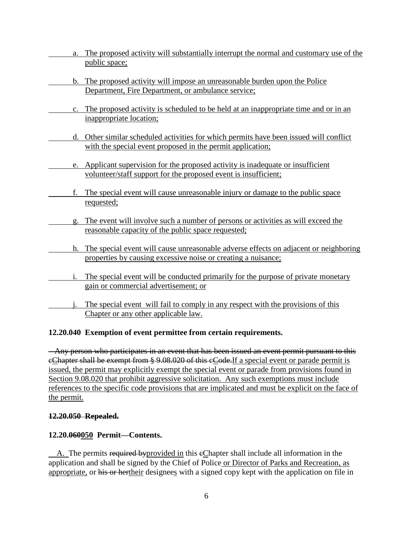- a. The proposed activity will substantially interrupt the normal and customary use of the public space;
- b. The proposed activity will impose an unreasonable burden upon the Police Department, Fire Department, or ambulance service;
- c. The proposed activity is scheduled to be held at an inappropriate time and or in an inappropriate location;
- d. Other similar scheduled activities for which permits have been issued will conflict with the special event proposed in the permit application;
- e. Applicant supervision for the proposed activity is inadequate or insufficient volunteer/staff support for the proposed event is insufficient;
- f. The special event will cause unreasonable injury or damage to the public space requested;
- g. The event will involve such a number of persons or activities as will exceed the reasonable capacity of the public space requested;
- h. The special event will cause unreasonable adverse effects on adjacent or neighboring properties by causing excessive noise or creating a nuisance;
- i. The special event will be conducted primarily for the purpose of private monetary gain or commercial advertisement; or
- j. The special event will fail to comply in any respect with the provisions of this Chapter or any other applicable law.

### **12.20.040 Exemption of event permittee from certain requirements.**

 Any person who participates in an event that has been issued an event permit pursuant to this eChapter shall be exempt from § 9.08.020 of this eCode. If a special event or parade permit is issued, the permit may explicitly exempt the special event or parade from provisions found in Section 9.08.020 that prohibit aggressive solicitation. Any such exemptions must include references to the specific code provisions that are implicated and must be explicit on the face of the permit.

### **12.20.050 Repealed.**

### **12.20.060050 Permit—Contents.**

A. The permits required by provided in this eChapter shall include all information in the application and shall be signed by the Chief of Police or Director of Parks and Recreation, as appropriate, or his or hertheir designees with a signed copy kept with the application on file in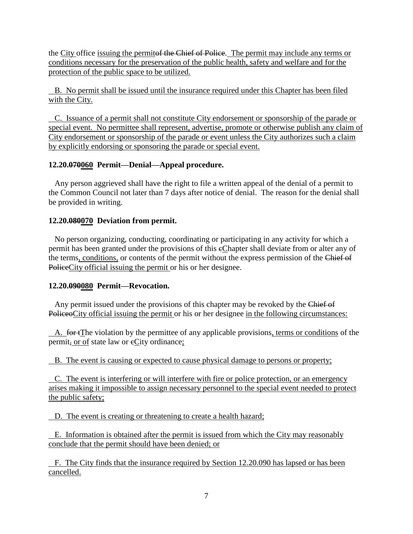the City office issuing the permiter the Chief of Police. The permit may include any terms or conditions necessary for the preservation of the public health, safety and welfare and for the protection of the public space to be utilized.

 B. No permit shall be issued until the insurance required under this Chapter has been filed with the City.

 C. Issuance of a permit shall not constitute City endorsement or sponsorship of the parade or special event. No permittee shall represent, advertise, promote or otherwise publish any claim of City endorsement or sponsorship of the parade or event unless the City authorizes such a claim by explicitly endorsing or sponsoring the parade or special event.

### **12.20.070060 Permit—Denial—Appeal procedure.**

 Any person aggrieved shall have the right to file a written appeal of the denial of a permit to the Common Council not later than 7 days after notice of denial. The reason for the denial shall be provided in writing.

# **12.20.080070 Deviation from permit.**

 No person organizing, conducting, coordinating or participating in any activity for which a permit has been granted under the provisions of this eChapter shall deviate from or alter any of the terms, conditions, or contents of the permit without the express permission of the Chief of PoliceCity official issuing the permit or his or her designee.

### **12.20.090080 Permit—Revocation.**

Any permit issued under the provisions of this chapter may be revoked by the Chief of PoliceoCity official issuing the permit or his or her designee in the following circumstances:

A. for tThe violation by the permittee of any applicable provisions, terms or conditions of the permit, or of state law or eCity ordinance;

B. The event is causing or expected to cause physical damage to persons or property;

 C. The event is interfering or will interfere with fire or police protection, or an emergency arises making it impossible to assign necessary personnel to the special event needed to protect the public safety;

D. The event is creating or threatening to create a health hazard;

 E. Information is obtained after the permit is issued from which the City may reasonably conclude that the permit should have been denied; or

 F. The City finds that the insurance required by Section 12.20.090 has lapsed or has been cancelled.